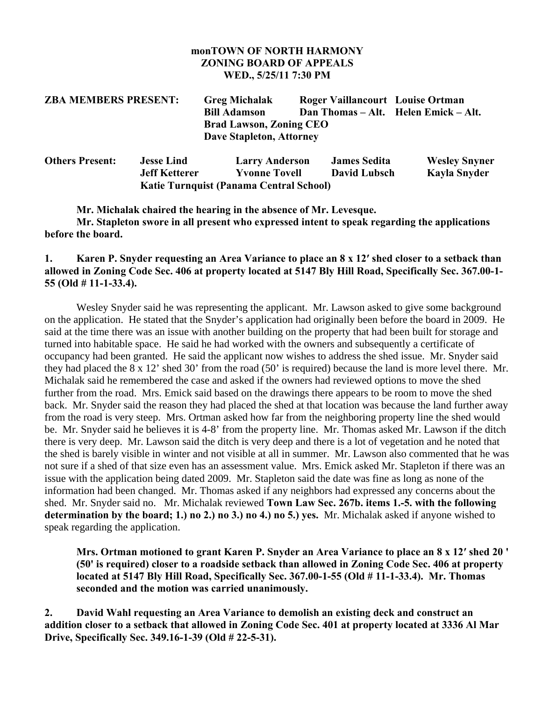#### **monTOWN OF NORTH HARMONY ZONING BOARD OF APPEALS WED., 5/25/11 7:30 PM**

| <b>ZBA MEMBERS PRESENT:</b> | <b>Greg Michalak</b><br><b>Bill Adamson</b><br><b>Brad Lawson, Zoning CEO</b> | <b>Roger Vaillancourt</b> Louise Ortman<br>Dan Thomas – Alt. Helen Emick – Alt. |  |
|-----------------------------|-------------------------------------------------------------------------------|---------------------------------------------------------------------------------|--|
|                             | <b>Dave Stapleton, Attorney</b>                                               |                                                                                 |  |

| <b>Others Present:</b> | <b>Jesse Lind</b>                              | <b>Larry Anderson</b> | <b>James Sedita</b> | <b>Wesley Snyner</b> |
|------------------------|------------------------------------------------|-----------------------|---------------------|----------------------|
|                        | Jeff Ketterer                                  | - Yvonne Tovell       | <b>David Lubsch</b> | Kayla Snyder         |
|                        | <b>Katie Turnquist (Panama Central School)</b> |                       |                     |                      |

 **Mr. Michalak chaired the hearing in the absence of Mr. Levesque.** 

 **Mr. Stapleton swore in all present who expressed intent to speak regarding the applications before the board.** 

### **1. Karen P. Snyder requesting an Area Variance to place an 8 x 12′ shed closer to a setback than allowed in Zoning Code Sec. 406 at property located at 5147 Bly Hill Road, Specifically Sec. 367.00-1- 55 (Old # 11-1-33.4).**

Wesley Snyder said he was representing the applicant. Mr. Lawson asked to give some background on the application. He stated that the Snyder's application had originally been before the board in 2009. He said at the time there was an issue with another building on the property that had been built for storage and turned into habitable space. He said he had worked with the owners and subsequently a certificate of occupancy had been granted. He said the applicant now wishes to address the shed issue. Mr. Snyder said they had placed the 8 x 12' shed 30' from the road (50' is required) because the land is more level there. Mr. Michalak said he remembered the case and asked if the owners had reviewed options to move the shed further from the road. Mrs. Emick said based on the drawings there appears to be room to move the shed back. Mr. Snyder said the reason they had placed the shed at that location was because the land further away from the road is very steep. Mrs. Ortman asked how far from the neighboring property line the shed would be. Mr. Snyder said he believes it is 4-8' from the property line. Mr. Thomas asked Mr. Lawson if the ditch there is very deep. Mr. Lawson said the ditch is very deep and there is a lot of vegetation and he noted that the shed is barely visible in winter and not visible at all in summer. Mr. Lawson also commented that he was not sure if a shed of that size even has an assessment value. Mrs. Emick asked Mr. Stapleton if there was an issue with the application being dated 2009. Mr. Stapleton said the date was fine as long as none of the information had been changed. Mr. Thomas asked if any neighbors had expressed any concerns about the shed. Mr. Snyder said no. Mr. Michalak reviewed **Town Law Sec. 267b. items 1.-5. with the following determination by the board; 1.) no 2.) no 3.) no 4.) no 5.) yes.** Mr. Michalak asked if anyone wished to speak regarding the application.

**Mrs. Ortman motioned to grant Karen P. Snyder an Area Variance to place an 8 x 12′ shed 20 ' (50' is required) closer to a roadside setback than allowed in Zoning Code Sec. 406 at property located at 5147 Bly Hill Road, Specifically Sec. 367.00-1-55 (Old # 11-1-33.4). Mr. Thomas seconded and the motion was carried unanimously.** 

**2. David Wahl requesting an Area Variance to demolish an existing deck and construct an addition closer to a setback that allowed in Zoning Code Sec. 401 at property located at 3336 Al Mar Drive, Specifically Sec. 349.16-1-39 (Old # 22-5-31).**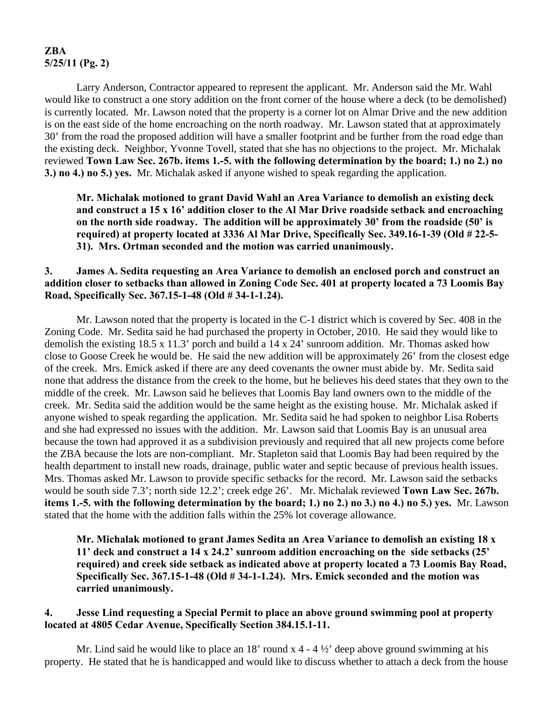# **ZBA 5/25/11 (Pg. 2)**

 Larry Anderson, Contractor appeared to represent the applicant. Mr. Anderson said the Mr. Wahl would like to construct a one story addition on the front corner of the house where a deck (to be demolished) is currently located. Mr. Lawson noted that the property is a corner lot on Almar Drive and the new addition is on the east side of the home encroaching on the north roadway. Mr. Lawson stated that at approximately 30' from the road the proposed addition will have a smaller footprint and be further from the road edge than the existing deck. Neighbor, Yvonne Tovell, stated that she has no objections to the project. Mr. Michalak reviewed **Town Law Sec. 267b. items 1.-5. with the following determination by the board; 1.) no 2.) no 3.) no 4.) no 5.) yes.** Mr. Michalak asked if anyone wished to speak regarding the application.

**Mr. Michalak motioned to grant David Wahl an Area Variance to demolish an existing deck and construct a 15 x 16' addition closer to the Al Mar Drive roadside setback and encroaching on the north side roadway. The addition will be approximately 30' from the roadside (50' is required) at property located at 3336 Al Mar Drive, Specifically Sec. 349.16-1-39 (Old # 22-5- 31). Mrs. Ortman seconded and the motion was carried unanimously.** 

### **3. James A. Sedita requesting an Area Variance to demolish an enclosed porch and construct an addition closer to setbacks than allowed in Zoning Code Sec. 401 at property located a 73 Loomis Bay Road, Specifically Sec. 367.15-1-48 (Old # 34-1-1.24).**

 Mr. Lawson noted that the property is located in the C-1 district which is covered by Sec. 408 in the Zoning Code. Mr. Sedita said he had purchased the property in October, 2010. He said they would like to demolish the existing 18.5 x 11.3' porch and build a 14 x 24' sunroom addition. Mr. Thomas asked how close to Goose Creek he would be. He said the new addition will be approximately 26' from the closest edge of the creek. Mrs. Emick asked if there are any deed covenants the owner must abide by. Mr. Sedita said none that address the distance from the creek to the home, but he believes his deed states that they own to the middle of the creek. Mr. Lawson said he believes that Loomis Bay land owners own to the middle of the creek. Mr. Sedita said the addition would be the same height as the existing house. Mr. Michalak asked if anyone wished to speak regarding the application. Mr. Sedita said he had spoken to neighbor Lisa Roberts and she had expressed no issues with the addition. Mr. Lawson said that Loomis Bay is an unusual area because the town had approved it as a subdivision previously and required that all new projects come before the ZBA because the lots are non-compliant. Mr. Stapleton said that Loomis Bay had been required by the health department to install new roads, drainage, public water and septic because of previous health issues. Mrs. Thomas asked Mr. Lawson to provide specific setbacks for the record. Mr. Lawson said the setbacks would be south side 7.3'; north side 12.2'; creek edge 26'. Mr. Michalak reviewed **Town Law Sec. 267b. items 1.-5. with the following determination by the board; 1.) no 2.) no 3.) no 4.) no 5.) yes.** Mr. Lawson stated that the home with the addition falls within the 25% lot coverage allowance.

**Mr. Michalak motioned to grant James Sedita an Area Variance to demolish an existing 18 x 11' deck and construct a 14 x 24.2' sunroom addition encroaching on the side setbacks (25' required) and creek side setback as indicated above at property located a 73 Loomis Bay Road, Specifically Sec. 367.15-1-48 (Old # 34-1-1.24). Mrs. Emick seconded and the motion was carried unanimously.** 

### **4. Jesse Lind requesting a Special Permit to place an above ground swimming pool at property located at 4805 Cedar Avenue, Specifically Section 384.15.1-11.**

Mr. Lind said he would like to place an 18' round x  $4 - 4\frac{1}{2}$ ' deep above ground swimming at his property. He stated that he is handicapped and would like to discuss whether to attach a deck from the house